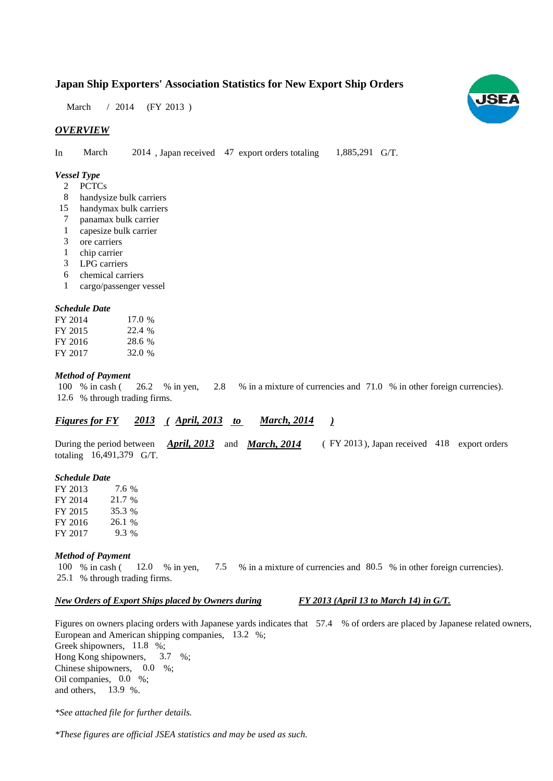# **Japan Ship Exporters' Association Statistics for New Export Ship Orders**

March / 2014 (FY 2013)

# *OVERVIEW*

In March 2014, Japan received 47 export orders totaling 1,885,291 G/T. March 1,885,291 G/T.

### *Vessel Type*

- **PCTCs**  $2^{\circ}$
- handysize bulk carriers 8
- handymax bulk carriers 15
- panamax bulk carrier 7
- capesize bulk carrier 1
- ore carriers 3
- chip carrier 1
- LPG carriers 3
- chemical carriers 6
- cargo/passenger vessel 1

#### *Schedule Date*

| FY 2014 | 17.0 % |
|---------|--------|
| FY 2015 | 22.4 % |
| FY 2016 | 28.6 % |
| FY 2017 | 32.0 % |

#### *Method of Payment*

% in cash ( $\frac{26.2}{8}$  % in yen,  $\frac{2.8}{8}$  % in a mixture of currencies and 71.0 % in other foreign currencies). % through trading firms. 12.6 100 % in cash ( 26.2 % in yen, 2.8

#### *<u><i>Figures for FY* 2013 (April, 2013 to March, 2014)</u></u> *March, 2014*

During the period between *April, 2013* and *March, 2014* (FY 2013), Japan received 418 export orders totaling  $16,491,379$  G/T. *April, 2013* and *March, 2014* 

#### *Schedule Date*

FY 2013 FY 2014 FY 2015 FY 2016 FY 2017 26.1 % 7.6 21.7 % 9.3 35.3

#### *Method of Payment*

% in cash ( $\frac{12.0}{8}$  in yen,  $\frac{7.5}{8}$  % in a mixture of currencies and 80.5 % in other foreign currencies). 25.1 % through trading firms. 100 % in cash (12.0 % in yen,

#### *New Orders of Export Ships placed by Owners during*

#### *FY 2013 (April 13 to March 14) in G/T.*

Figures on owners placing orders with Japanese yards indicates that  $57.4\%$  of orders are placed by Japanese related owners, European and American shipping companies,  $13.2\%$ ; Greek shipowners, 11.8 %; Hong Kong shipowners, Chinese shipowners,  $0.0\%$ ; Oil companies, 0.0 %; and others,  $13.9 %$ .  $3.7 \%$ 

*\*See attached file for further details.*

*\*These figures are official JSEA statistics and may be used as such.*

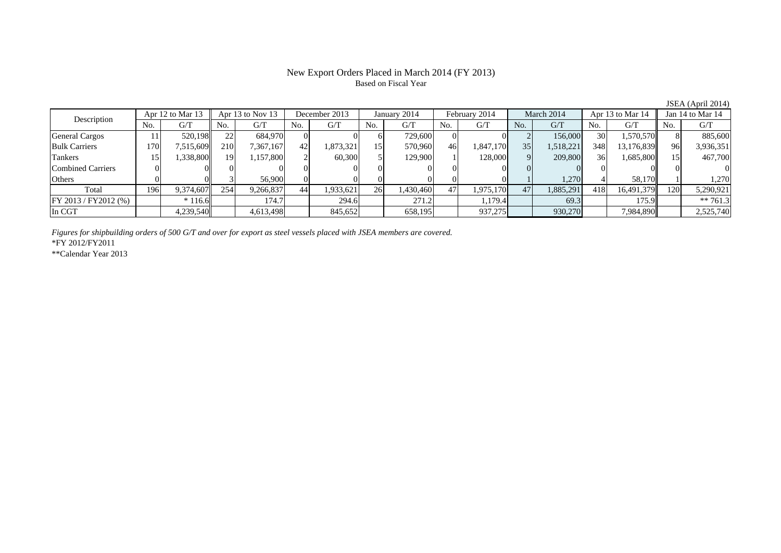# New Export Orders Placed in March 2014 (FY 2013) Based on Fiscal Year

| $\frac{1}{2}$                   |                |           |                      |           |               |           |              |           |               |           |                 |           |                  |            |                  |            |
|---------------------------------|----------------|-----------|----------------------|-----------|---------------|-----------|--------------|-----------|---------------|-----------|-----------------|-----------|------------------|------------|------------------|------------|
| Apr 12 to Mar 13<br>Description |                |           | Apr $13$ to Nov $13$ |           | December 2013 |           | January 2014 |           | February 2014 |           | March 2014      |           | Apr 13 to Mar 14 |            | Jan 14 to Mar 14 |            |
|                                 | N <sub>0</sub> | G/T       | No.                  | G/T       | No.           | G/T       | No.          | G/T       | No.           | G/T       | No.             | G/T       | No.              | G/T        | No.              | G/T        |
| <b>General Cargos</b>           |                | 520,198   | 22                   | 684.970   |               |           |              | 729,600   |               |           |                 | 156,000   | 30 <sup>1</sup>  | 1,570,570  |                  | 885,600    |
| <b>Bulk Carriers</b>            | 170            | 7,515,609 | <b>210</b>           | 7,367,167 | 42            | 1,873,321 | 15           | 570,960   | 46            | 1,847,170 | 35 <sup>1</sup> | 1,518,221 | 348              | 13,176,839 | 96               | 3,936,351  |
| Tankers                         |                | 1,338,800 | 19                   | ,157,800  |               | 60,300    |              | 129,900   |               | 128,000   |                 | 209,800   | 36               | 1,685,800  | 5                | 467,700    |
| Combined Carriers               |                |           |                      |           |               |           |              |           |               |           |                 |           |                  |            |                  |            |
| Others                          |                |           |                      | 56,900    |               |           |              |           |               |           |                 | 1,270     |                  | 58,170     |                  | 1.270      |
| Total                           | 196            | 9,374,607 | 254                  | 9,266,837 | 44            | 1,933,621 | 26           | 1,430,460 | 47            | 1,975,170 | 47              | 1,885,291 | 418              | 16.491.379 | 120              | 5,290,921  |
| FY 2013 / FY 2012 (%)           |                | $*116.6$  |                      | 174.7     |               | 294.6     |              | 271.2     |               | 1,179.4   |                 | 69.3      |                  | 175.9      |                  | ** $761.3$ |
| In CGT                          |                | 4,239,540 |                      | 4,613,498 |               | 845,652   |              | 658,195   |               | 937,275   |                 | 930,270   |                  | 7,984,890  |                  | 2,525,740  |

*Figures for shipbuilding orders of 500 G/T and over for export as steel vessels placed with JSEA members are covered.*

\*FY 2012/FY2011

\*\*Calendar Year 2013

ISEA  $(April 2014)$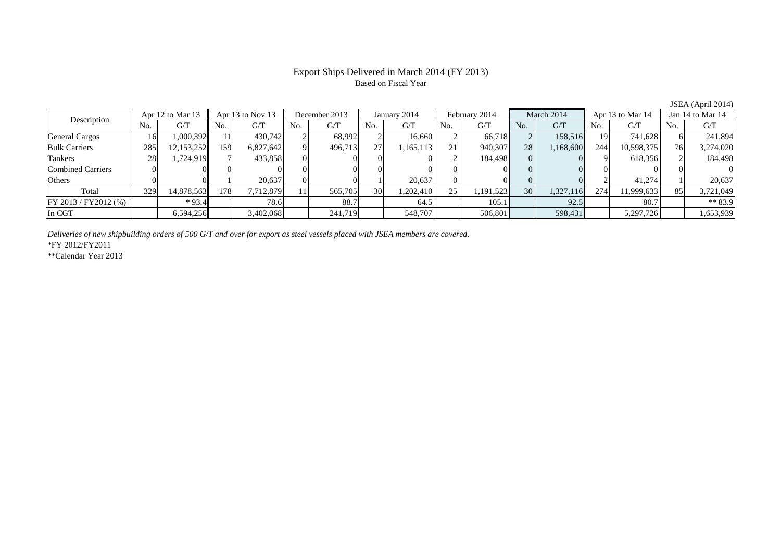### Export Ships Delivered in March 2014 (FY 2013) Based on Fiscal Year

No. G/T No. G/T No. G/T No. G/T No. G/T No. G/T No. G/T No. G/T $G/T$ General Cargos ( 16 1,000,392 11 430,742 2 68,992 2 16,660 2 66,718 2 158,516 19 741,628 6 241,894 Bulk Carriers | 285 12,153,252 159 6,827,642 9 496,713 27 1,165,113 21 940,307 28 1,168,600 244 10,598,375 76 3,274,020 Tankers 28 1,724,919 7 433,858 0 0 0 0 2 184,498 0 0 9 618,356 2 184,498 Combined Carriers 0 0 0 0 0 0 0 0 0 0 0 0 0 0 0 0Others 0 0 1 20,637 0 0 1 20,637 0 0 0 0 2 41,274 1 20,637 Total 329 14,878,563 178 7,712,879 11 565,705 30 1,202,410 25 1,191,523 30 1,327,116 274 11,999,633 85 3,721,049 FY 2013 / FY2012 (%) \* 93.4 78.6 88.7 64.5 105.1 92.5 80.7 \* 83.9 In CGT | | 6,594,256|| | 3,402,068| | 241,719| | 548,707| | 506,801| | 598,431| | 5,297,726|| | 1,653,939 Description Apr 12 to Mar 13 Apr 13 to Nov 13 December 2013 January 2014<br>No. 6/T No. 6/T No. 6/T No. 6/T February 2014 March 2014 Apr 13 to Mar 14 Jan 14 to Mar 14

*Deliveries of new shipbuilding orders of 500 G/T and over for export as steel vessels placed with JSEA members are covered.*

\*FY 2012/FY2011

\*\*Calendar Year 2013

JSEA (April 2014)